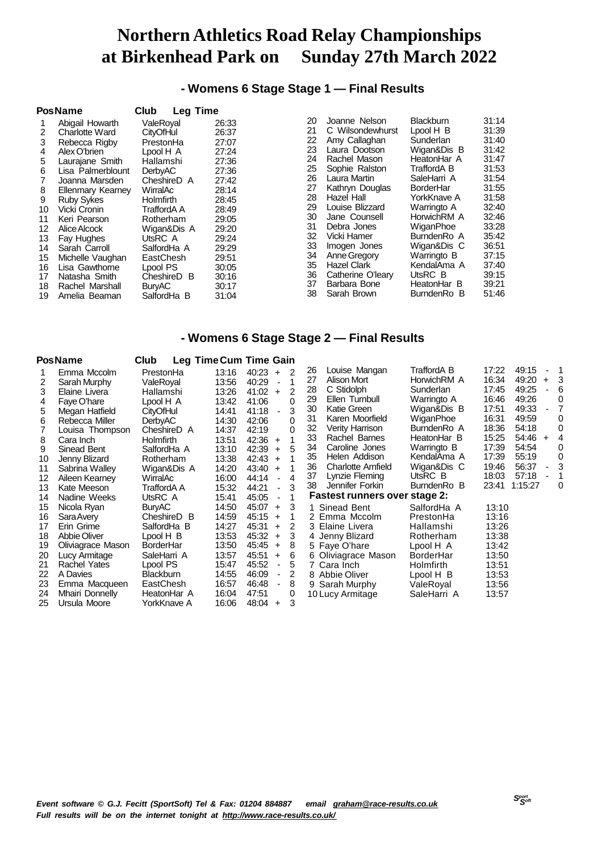## **- Womens 6 Stage Stage 1 — Final Results**

|    | <b>PosName</b>           | Club<br><b>Leg Time</b> |       |    |                    |                  |       |
|----|--------------------------|-------------------------|-------|----|--------------------|------------------|-------|
|    | Abigail Howarth          | ValeRoval               | 26:33 | 20 | Joanne Nelson      | <b>Blackburn</b> | 31:14 |
| 2  | <b>Charlotte Ward</b>    | <b>CityOfHul</b>        | 26:37 | 21 | C Wilsondewhurst   | Lpool H B        | 31:39 |
| 3  | Rebecca Rigby            | PrestonHa               | 27:07 | 22 | Amy Callaghan      | Sunderlan        | 31:40 |
| 4  | Alex O'brien             | Lpool H A               | 27:24 | 23 | Laura Dootson      | Wigan&Dis B      | 31:42 |
| 5  | Laurajane Smith          | Hallamshi               | 27:36 | 24 | Rachel Mason       | HeatonHar A      | 31:47 |
| 6  | Lisa Palmerblount        | <b>DerbyAC</b>          | 27:36 | 25 | Sophie Ralston     | TraffordA B      | 31:53 |
|    | Joanna Marsden           | CheshireD A             | 27:42 | 26 | Laura Martin       | SaleHarri A      | 31:54 |
| 8  | <b>Ellenmary Kearney</b> | WirralAc                | 28:14 | 27 | Kathryn Douglas    | <b>BorderHar</b> | 31:55 |
| 9  | <b>Ruby Sykes</b>        | <b>Holmfirth</b>        | 28:45 | 28 | Hazel Hall         | YorkKnave A      | 31:58 |
| 10 | Vicki Cronin             | TraffordA A             | 28:49 | 29 | Louise Blizzard    | Warringto A      | 32:40 |
| 11 | Keri Pearson             | Rotherham               | 29:05 | 30 | Jane Counsell      | HorwichRM A      | 32:46 |
| 12 | Alice Alcock             | Wigan&Dis A             | 29:20 | 31 | Debra Jones        | WiganPhoe        | 33:28 |
| 13 | Fay Hughes               | UtsRC A                 | 29:24 | 32 | Vicki Hamer        | BurndenRo A      | 35:42 |
| 14 | Sarah Carroll            | SalfordHa A             | 29:29 | 33 | Imogen Jones       | Wigan&Dis C      | 36:51 |
| 15 | Michelle Vaughan         | EastChesh               | 29:51 | 34 | Anne Gregory       | Warringto B      | 37:15 |
| 16 | Lisa Gawthorne           | Lpool PS                | 30:05 | 35 | <b>Hazel Clark</b> | KendalAma A      | 37:40 |
| 17 | Natasha Smith            | CheshireD B             | 30:16 | 36 | Catherine O'leary  | UtsRC B          | 39:15 |
| 18 | Rachel Marshall          | <b>BuryAC</b>           | 30:17 | 37 | Barbara Bone       | HeatonHar B      | 39:21 |
| 19 | Amelia Beaman            | SalfordHa B             | 31:04 | 38 | Sarah Brown        | BurndenRo B      | 51:46 |

### **- Womens 6 Stage Stage 2 — Final Results**

|    | <b>PosName</b>    | Club             | Leg Time Cum Time Gain |       |                               |   |                                      |                  |       |         |                          |          |
|----|-------------------|------------------|------------------------|-------|-------------------------------|---|--------------------------------------|------------------|-------|---------|--------------------------|----------|
|    | Emma Mccolm       | PrestonHa        | 13:16                  | 40:23 | 2<br>$+$                      |   | 26<br>Louise Mangan                  | TraffordA B      | 17:22 | 49:15   | $\overline{\phantom{a}}$ |          |
| 2  | Sarah Murphy      | ValeRoval        | 13:56                  | 40:29 | 1<br>$\overline{\phantom{a}}$ |   | 27<br>Alison Mort                    | HorwichRM A      | 16:34 | 49:20   | $+$                      | 3        |
| 3  | Elaine Livera     | Hallamshi        | 13:26                  | 41:02 | 2<br>$+$                      |   | C Stidolph<br>28                     | Sunderlan        | 17:45 | 49:25   |                          | 6        |
| 4  | Faye O'hare       | Lpool H A        | 13:42                  | 41:06 | 0                             |   | 29<br>Ellen Turnbull                 | Warringto A      | 16:46 | 49:26   |                          | 0        |
| 5  | Megan Hatfield    | <b>CityOfHul</b> | 14:41                  | 41:18 | $\blacksquare$                | 3 | 30<br>Katie Green                    | Wigan&Dis B      | 17:51 | 49:33   | $\blacksquare$           |          |
| 6  | Rebecca Miller    | <b>DerbyAC</b>   | 14:30                  | 42:06 | 0                             |   | 31<br>Karen Moorfield                | WiganPhoe        | 16:31 | 49:59   |                          | 0        |
|    | Louisa Thompson   | CheshireD A      | 14:37                  | 42:19 |                               |   | 32<br>Verity Harrison                | BurndenRo A      | 18:36 | 54:18   |                          | $\Omega$ |
| 8  | Cara Inch         | <b>Holmfirth</b> | 13:51                  | 42:36 | $+$                           |   | 33<br>Rachel Barnes                  | HeatonHar B      | 15:25 | 54:46   | $+$                      | 4        |
| 9  | Sinead Bent       | SalfordHa A      | 13:10                  | 42:39 | $+$                           |   | 34<br>Caroline Jones                 | Warringto B      | 17:39 | 54:54   |                          | 0        |
| 10 | Jenny Blizard     | Rotherham        | 13:38                  | 42:43 | $+$                           |   | Helen Addison<br>35                  | KendalAma A      | 17:39 | 55:19   |                          | 0        |
| 11 | Sabrina Walley    | Wigan&Dis A      | 14:20                  | 43:40 | $+$                           |   | <b>Charlotte Arnfield</b><br>36      | Wigan&Dis C      | 19:46 | 56:37   | $\overline{\phantom{0}}$ | 3        |
| 12 | Aileen Kearney    | WirralAc         | 16:00                  | 44:14 | 4<br>$\blacksquare$           |   | 37<br>Lynzie Fleming                 | UtsRC B          | 18:03 | 57:18   |                          |          |
| 13 | Kate Meeson       | TraffordA A      | 15:32                  | 44:21 | 3<br>$\overline{\phantom{0}}$ |   | Jennifer Forkin<br>38                | BurndenRo B      | 23:41 | 1:15:27 |                          | 0        |
| 14 | Nadine Weeks      | UtsRC A          | 15:41                  | 45:05 | 1<br>$\blacksquare$           |   | <b>Fastest runners over stage 2:</b> |                  |       |         |                          |          |
| 15 | Nicola Ryan       | <b>BuryAC</b>    | 14:50                  | 45:07 | 3<br>$+$                      |   | 1 Sinead Bent                        | SalfordHa A      | 13:10 |         |                          |          |
| 16 | <b>Sara Avery</b> | CheshireD B      | 14:59                  | 45:15 | $\ddot{}$                     |   | 2 Emma Mccolm                        | PrestonHa        | 13:16 |         |                          |          |
| 17 | Erin Grime        | SalfordHa B      | 14:27                  | 45:31 | 2<br>$+$                      |   | 3 Elaine Livera                      | Hallamshi        | 13:26 |         |                          |          |
| 18 | Abbie Oliver      | Lpool H B        | 13:53                  | 45:32 | $+$                           | 3 | 4 Jenny Blizard                      | Rotherham        | 13:38 |         |                          |          |
| 19 | Oliviagrace Mason | <b>BorderHar</b> | 13:50                  | 45:45 | 8<br>$\ddot{}$                |   | 5 Faye O'hare                        | Lpool H A        | 13:42 |         |                          |          |
| 20 | Lucy Armitage     | SaleHarri A      | 13:57                  | 45:51 | 6<br>$+$                      |   | 6 Oliviagrace Mason                  | <b>BorderHar</b> | 13:50 |         |                          |          |
| 21 | Rachel Yates      | Lpool PS         | 15:47                  | 45:52 | 5<br>$\blacksquare$           |   | 7 Cara Inch                          | <b>Holmfirth</b> | 13:51 |         |                          |          |
| 22 | A Davies          | <b>Blackburn</b> | 14:55                  | 46:09 | 2<br>$\overline{\phantom{a}}$ |   | 8 Abbie Oliver                       | Lpool H B        | 13:53 |         |                          |          |
| 23 | Emma Macqueen     | EastChesh        | 16:57                  | 46:48 | 8<br>$\overline{\phantom{a}}$ |   | 9 Sarah Murphy                       | ValeRoyal        | 13:56 |         |                          |          |
| 24 | Mhairi Donnelly   | HeatonHar A      | 16:04                  | 47:51 |                               | 0 | 10 Lucy Armitage                     | SaleHarri A      | 13:57 |         |                          |          |
| 25 | Ursula Moore      | YorkKnave A      | 16:06                  | 48:04 | $\ddot{}$                     | 3 |                                      |                  |       |         |                          |          |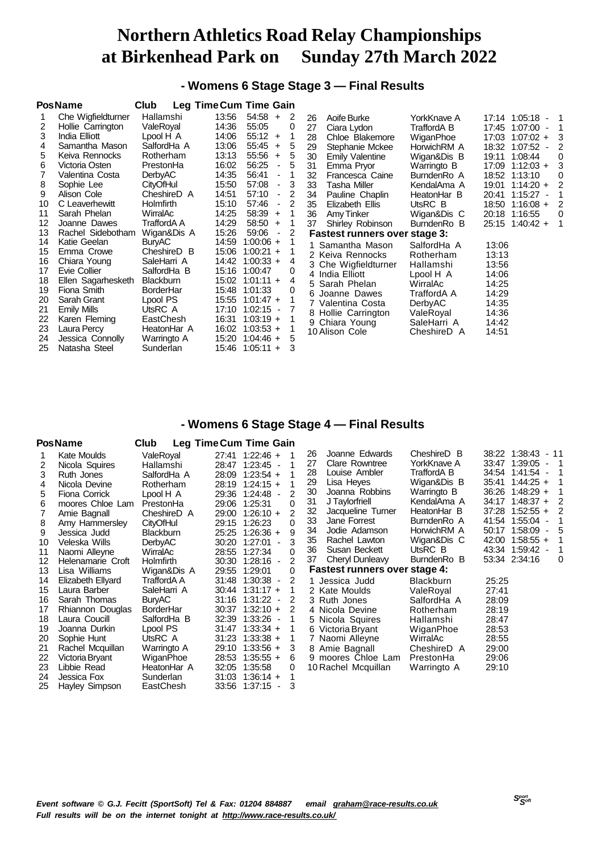**- Womens 6 Stage Stage 3 — Final Results**

|    | <b>PosName</b>     | Club             | <b>Leg Time Cum Time Gain</b> |                                   |   |    |                                      |             |                                        |
|----|--------------------|------------------|-------------------------------|-----------------------------------|---|----|--------------------------------------|-------------|----------------------------------------|
|    | Che Wigfieldturner | Hallamshi        | 13:56                         | 54:58<br>$+$                      | 2 | 26 | Aoife Burke                          | YorkKnave A | $17:14$ $1:05:18$ - 1                  |
| 2  | Hollie Carrington  | ValeRoyal        | 14:36                         | 55:05                             | 0 | 27 | Ciara Lydon                          | TraffordA B | 17:45 1:07:00<br>-1                    |
| 3  | India Elliott      | Lpool H A        | 14:06                         | 55:12<br>$+$                      | 1 | 28 | Chloe Blakemore                      | WiganPhoe   | 17:03 1:07:02 +<br>-3                  |
| 4  | Samantha Mason     | SalfordHa A      | 13:06                         | 55:45<br>$+$                      | 5 | 29 | Stephanie Mckee                      | HorwichRM A | 18:32 1:07:52<br>$\overline{2}$        |
| 5  | Keiva Rennocks     | Rotherham        | 13:13                         | 55:56<br>$+$                      | 5 | 30 | <b>Emily Valentine</b>               | Wigan&Dis B | 19:11 1:08:44<br>$\Omega$              |
| 6  | Victoria Osten     | PrestonHa        | 16:02                         | 56:25<br>$\overline{\phantom{a}}$ | 5 | 31 | Emma Prvor                           | Warringto B | 3<br>$17:09$ 1:12:03 +                 |
|    | Valentina Costa    | <b>DerbyAC</b>   | 14:35                         | 56:41<br>$\overline{\phantom{a}}$ |   | 32 | Francesca Caine                      | BurndenRo A | 18:52 1:13:10<br>0                     |
| 8  | Sophie Lee         | <b>CityOfHul</b> | 15:50                         | 57:08<br>$\overline{\phantom{a}}$ | 3 | 33 | <b>Tasha Miller</b>                  | KendalAma A | $\overline{2}$<br>19:01<br>$1:14:20 +$ |
| 9  | Alison Cole        | CheshireD A      | 14:51                         | 57:10<br>$\overline{\phantom{a}}$ | 2 | 34 | Pauline Chaplin                      | HeatonHar B | 20:41<br>1:15:27                       |
| 10 | C Leaverhewitt     | <b>Holmfirth</b> | 15:10                         | 57:46<br>$\overline{\phantom{a}}$ | 2 | 35 | Elizabeth Ellis                      | UtsRC B     | 18:50 1:16:08 +<br>$\overline{2}$      |
| 11 | Sarah Phelan       | WirralAc         | 14:25                         | 58:39<br>$\ddot{}$                | 1 | 36 | Amy Tinker                           | Wigan&Dis C | 20:18 1:16:55<br>$\Omega$              |
| 12 | Joanne Dawes       | TraffordA A      | 14:29                         | 58:50<br>$\ddot{}$                | 1 | 37 | Shirley Robinson                     | BurndenRo B | $25:15$ 1:40:42 +<br>-1                |
| 13 | Rachel Sidebotham  | Wigan&Dis A      | 15:26                         | 59:06<br>$\overline{\phantom{a}}$ | 2 |    | <b>Fastest runners over stage 3:</b> |             |                                        |
| 14 | Katie Geelan       | <b>BuryAC</b>    | 14:59                         | $1:00:06 +$                       |   |    | Samantha Mason                       | SalfordHa A | 13:06                                  |
| 15 | Emma Crowe         | CheshireD B      | 15:06                         | $1:00:21 +$                       |   |    | 2 Keiva Rennocks                     | Rotherham   | 13:13                                  |
| 16 | Chiara Young       | SaleHarri A      |                               | 14:42 1:00:33 +                   | 4 |    | 3 Che Wigfieldturner                 | Hallamshi   | 13:56                                  |
| 17 | Evie Collier       | SalfordHa B      | 15:16 1:00:47                 |                                   | 0 |    | 4 India Elliott                      | Lpool H A   | 14:06                                  |
| 18 | Ellen Sagarhesketh | <b>Blackburn</b> |                               | 15:02 1:01:11 +                   | 4 |    | 5 Sarah Phelan                       | WirralAc    | 14:25                                  |
| 19 | Fiona Smith        | BorderHar        | 15:48 1:01:33                 |                                   | 0 |    | 6 Joanne Dawes                       | TraffordA A | 14:29                                  |
| 20 | Sarah Grant        | Lpool PS         |                               | 15:55 1:01:47 +                   |   |    | 7 Valentina Costa                    | DerbyAC     | 14:35                                  |
| 21 | Emily Mills        | UtsRC A          |                               | 17:10 1:02:15 -                   |   |    | 8 Hollie Carrington                  | ValeRoyal   | 14:36                                  |
| 22 | Karen Fleming      | EastChesh        |                               | $16:31$ $1:03:19 +$               |   |    | 9 Chiara Young                       | SaleHarri A | 14:42                                  |
| 23 | Laura Percy        | HeatonHar A      |                               | $16:02$ 1:03:53 +                 |   |    | 10 Alison Cole                       | CheshireD A | 14:51                                  |
| 24 | Jessica Connolly   | Warringto A      | 15:20                         | $1:04:46 +$                       | 5 |    |                                      |             |                                        |
| 25 | Natasha Steel      | Sunderlan        |                               | $15:46$ 1:05:11 +                 | 3 |    |                                      |             |                                        |

### **- Womens 6 Stage Stage 4 — Final Results**

|    | PosName           | <b>Club</b>      | <b>Leg Time Cum Time Gain</b> |                           |                |    |                                      |                  |               |                                     |   |
|----|-------------------|------------------|-------------------------------|---------------------------|----------------|----|--------------------------------------|------------------|---------------|-------------------------------------|---|
|    | Kate Moulds       | ValeRoyal        |                               | 27:41 1:22:46 +           |                | 26 | Joanne Edwards                       | CheshireD B      |               | 38:22 1:38:43 - 11                  |   |
| 2  | Nicola Squires    | Hallamshi        |                               | 28:47 1:23:45 -           |                | 27 | <b>Clare Rowntree</b>                | YorkKnave A      |               | 33:47 1:39:05<br>- 1                |   |
| 3  | Ruth Jones        | SalfordHa A      | 28:09                         | $1:23:54$ +               |                | 28 | Louise Ambler                        | TraffordA B      |               | 34:54 1:41:54 -                     |   |
| 4  | Nicola Devine     | Rotherham        |                               | 28:19 1:24:15 +           |                | 29 | Lisa Heyes                           | Wigan&Dis B      | 35:41         | $1:44:25 +$                         |   |
| 5  | Fiona Corrick     | Lpool H A        |                               | 29:36 1:24:48 -           | $\mathfrak{p}$ | 30 | Joanna Robbins                       | Warringto B      | 36:26         | $1:48:29 +$                         |   |
| 6  | moores Chloe Lam  | PrestonHa        | 29:06 1:25:31                 |                           | 0              | 31 | J Taylorfriell                       | KendalAma A      | 34:17         | $1:48:37 +$                         | 2 |
|    | Amie Bagnall      | CheshireD A      | 29:00                         | $1:26:10 +$               | $\overline{2}$ | 32 | Jacqueline Turner                    | HeatonHar B      | 37:28         | $1:52:55 +$                         | 2 |
| 8  | Amy Hammersley    | <b>CityOfHul</b> | 29:15                         | 1:26:23                   | 0              | 33 | Jane Forrest                         | BurndenRo A      | 41:54         | $1:55:04 -$                         |   |
| 9  | Jessica Judd      | <b>Blackburn</b> |                               | 25:25 1:26:36 +           | 9              | 34 | Jodie Adamson                        | HorwichRM A      | 50:17         | 1:58:09<br>$\overline{\phantom{a}}$ | 5 |
| 10 | Veleska Wills     | <b>DerbyAC</b>   | 30:20                         | 1:27:01<br>$\blacksquare$ |                | 35 | Rachel Lawton                        | Wigan&Dis C      | 42:00         | $1:58:55 +$                         |   |
| 11 | Naomi Alleyne     | WirralAc         |                               | 28:55 1:27:34             | 0              | 36 | Susan Beckett                        | UtsRC B          | 43:34         | 1:59:42 -                           |   |
| 12 | Helenamarie Croft | <b>Holmfirth</b> | 30:30                         | $1:28:16 -$               | $\mathcal{P}$  | 37 | Cheryl Dunleavy                      | BurndenRo B      | 53:34 2:34:16 |                                     | 0 |
| 13 | Lisa Williams     | Wigan&Dis A      | 29:55 1:29:01                 |                           | 0              |    | <b>Fastest runners over stage 4:</b> |                  |               |                                     |   |
| 14 | Elizabeth Ellyard | TraffordA A      |                               | 31:48 1:30:38 -           | 2              |    | Jessica Judd                         | <b>Blackburn</b> | 25:25         |                                     |   |
| 15 | Laura Barber      | SaleHarri A      |                               | 30:44 1:31:17 +           | 1              |    | 2 Kate Moulds                        | ValeRoyal        | 27:41         |                                     |   |
| 16 | Sarah Thomas      | <b>BuryAC</b>    |                               | 31:16 1:31:22 -           | 2              |    | 3 Ruth Jones                         | SalfordHa A      | 28:09         |                                     |   |
| 17 | Rhiannon Douglas  | BorderHar        | 30:37                         | $1:32:10 +$               | 2              |    | 4 Nicola Devine                      | Rotherham        | 28:19         |                                     |   |
| 18 | Laura Coucill     | SalfordHa B      |                               | 32:39 1:33:26 -           |                |    | 5 Nicola Squires                     | Hallamshi        | 28:47         |                                     |   |
| 19 | Joanna Durkin     | Lpool PS         | 31:47                         | $1:33:34 +$               |                |    | 6 Victoria Bryant                    | WiganPhoe        | 28:53         |                                     |   |
| 20 | Sophie Hunt       | UtsRC A          | 31:23                         | $1:33:38 +$               |                |    | 7 Naomi Alleyne                      | WirralAc         | 28:55         |                                     |   |
| 21 | Rachel Mcquillan  | Warringto A      | 29:10                         | $1:33:56 +$               | 3              |    | 8 Amie Bagnall                       | CheshireD A      | 29:00         |                                     |   |
| 22 | Victoria Bryant   | WiganPhoe        | 28:53                         | $1:35:55 +$               | 6              |    | 9 moores Chloe Lam                   | PrestonHa        | 29:06         |                                     |   |
| 23 | Libbie Read       | HeatonHar A      | 32:05                         | 1:35:58                   | 0              |    | 10 Rachel Mcquillan                  | Warringto A      | 29:10         |                                     |   |
| 24 | Jessica Fox       | Sunderlan        | 31:03                         | $1:36:14 +$               |                |    |                                      |                  |               |                                     |   |
| 25 | Hayley Simpson    | EastChesh        |                               | 33:56 1:37:15             |                |    |                                      |                  |               |                                     |   |
|    |                   |                  |                               |                           |                |    |                                      |                  |               |                                     |   |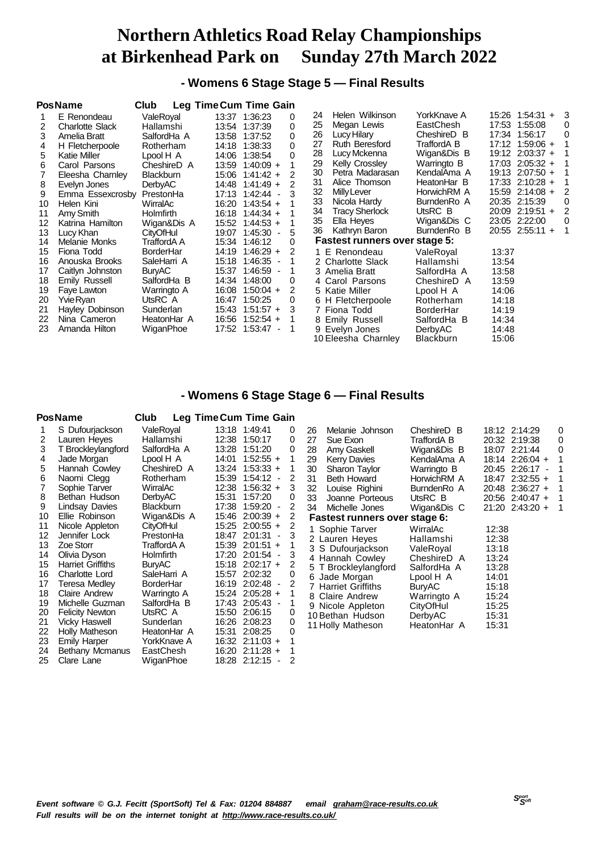**- Womens 6 Stage Stage 5 — Final Results**

|    | <b>PosName</b>         | Club             | <b>Leg Time Cum Time Gain</b>      |                                      |             |                           |
|----|------------------------|------------------|------------------------------------|--------------------------------------|-------------|---------------------------|
|    | E Renondeau            | ValeRoyal        | 13:37 1:36:23<br>0                 | Helen Wilkinson<br>24                | YorkKnave A | 15:26 1:54:31 +<br>3      |
| 2  | <b>Charlotte Slack</b> | Hallamshi        | 1:37:39<br>0<br>13:54              | 25<br>Megan Lewis                    | EastChesh   | 17:53 1:55:08<br>0        |
| 3  | Amelia Bratt           | SalfordHa A      | 13:58<br>1:37:52<br>0              | 26<br>Lucy Hilary                    | CheshireD B | 0<br>17:34 1:56:17        |
| 4  | H Fletcherpoole        | Rotherham        | $\Omega$<br>14:18<br>1:38:33       | 27<br>Ruth Beresford                 | TraffordA B | $17:12$ 1:59:06 +         |
| 5  | <b>Katie Miller</b>    | Lpool H A        | 14:06<br>1:38:54<br>$\Omega$       | 28<br>Lucy Mckenna                   | Wigan&Dis B | 19:12 2:03:37 +<br>1      |
| 6  | Carol Parsons          | CheshireD A      | 13:59<br>$1:40:09 +$               | Kelly Crossley<br>29                 | Warringto B | 17:03 2:05:32 +<br>- 1    |
|    | Eleesha Charnley       | <b>Blackburn</b> | 15:06<br>$1:41:42 +$<br>2          | 30<br>Petra Madarasan                | KendalAma A | 19:13 2:07:50 +<br>1      |
| 8  | Evelyn Jones           | <b>DerbyAC</b>   | 2<br>14:48<br>$1:41:49 +$          | 31<br>Alice Thomson                  | HeatonHar B | $17:33$ 2:10:28 +<br>-1   |
| 9  | Emma Essexcrosby       | PrestonHa        | 1:42:44<br>17:13<br>$\blacksquare$ | 32<br><b>Milly Lever</b>             | HorwichRM A | 15:59 2:14:08 +<br>2      |
| 10 | Helen Kini             | WirralAc         | $1:43:54 +$<br>16:20               | 33<br>Nicola Hardy                   | BurndenRo A | 20:35 2:15:39<br>$\Omega$ |
| 11 | Amy Smith              | <b>Holmfirth</b> | $1:44:34 +$<br>16:18               | 34<br><b>Tracy Sherlock</b>          | UtsRC B     | 2<br>20:09 2:19:51 +      |
| 12 | Katrina Hamilton       | Wigan&Dis A      | 15:52<br>$1:44:53 +$               | 35<br>Ella Heyes                     | Wigan&Dis C | $\Omega$<br>23:05 2:22:00 |
| 13 | Lucy Khan              | <b>CityOfHul</b> | 1:45:30<br>5<br>19:07              | 36<br>Kathryn Baron                  | BurndenRo B | $20:55$ 2:55:11 +<br>1    |
| 14 | Melanie Monks          | TraffordA A      | 1:46:12<br>15:34<br>0              | <b>Fastest runners over stage 5:</b> |             |                           |
| 15 | Fiona Todd             | <b>BorderHar</b> | $1:46:29 +$<br>2<br>14:19          | 1 E Renondeau                        | ValeRoyal   | 13:37                     |
| 16 | Anouska Brooks         | SaleHarri A      | 15:18<br>$1:46:35 -$               | 2 Charlotte Slack                    | Hallamshi   | 13:54                     |
| 17 | Caitlyn Johnston       | <b>BuryAC</b>    | 1:46:59<br>15:37                   | 3 Amelia Bratt                       | SalfordHa A | 13:58                     |
| 18 | Emily Russell          | SalfordHa B      | 1:48:00<br>14:34<br>0              | 4 Carol Parsons                      | CheshireD A | 13:59                     |
| 19 | Faye Lawton            | Warringto A      | 16:08<br>$1:50:04 +$<br>2          | 5 Katie Miller                       | Lpool H A   | 14:06                     |
| 20 | YvieRyan               | UtsRC A          | 16:47<br>1:50:25<br>0              | 6 H Fletcherpoole                    | Rotherham   | 14:18                     |
| 21 | Hayley Dobinson        | Sunderlan        | 3<br>15:43<br>$1:51:57 +$          | 7 Fiona Todd                         | BorderHar   | 14:19                     |
| 22 | Nina Cameron           | HeatonHar A      | $1:52:54 +$<br>16:56               | 8 Emily Russell                      | SalfordHa B | 14:34                     |
| 23 | Amanda Hilton          | WiganPhoe        | 17:52<br>$1:53:47 -$<br>-1         | 9 Evelyn Jones                       | DerbyAC     | 14:48                     |
|    |                        |                  |                                    | 10 Eleesha Charnley                  | Blackburn   | 15:06                     |

### **- Womens 6 Stage Stage 6 — Final Results**

### **PosName Club Leg TimeCum Time Gain**

| 1  | S Dufourjackson          | ValeRoyal        | 13:18 | 1:49:41           | 0                       |
|----|--------------------------|------------------|-------|-------------------|-------------------------|
| 2  | Lauren Heyes             | Hallamshi        | 12:38 | 1:50:17           | 0                       |
| 3  | T Brockleylangford       | SalfordHa A      | 13:28 | 1:51:20           | 0                       |
| 4  | Jade Morgan              | Lpool H A        | 14:01 | $1:52:55 +$       | 1                       |
| 5  | Hannah Cowley            | CheshireD A      | 13:24 | $1:53:33 +$       | 1                       |
| 6  | Naomi Clegg              | Rotherham        | 15:39 | $1:54:12 -$       | $\overline{\mathbf{c}}$ |
| 7  | Sophie Tarver            | WirralAc         | 12:38 | $1:56:32 +$       | 3                       |
| 8  | Bethan Hudson            | DerbyAC          | 15:31 | 1:57:20           | 0                       |
| 9  | <b>Lindsay Davies</b>    | <b>Blackburn</b> | 17:38 | $1:59:20 -$       | 2                       |
| 10 | Ellie Robinson           | Wigan&Dis A      | 15:46 | $2:00:39 +$       | $\overline{\mathbf{c}}$ |
| 11 | Nicole Appleton          | <b>CityOfHul</b> | 15:25 | $2:00:55 +$       | $\overline{c}$          |
| 12 | Jennifer Lock            | PrestonHa        | 18:47 | 2:01:31<br>$\sim$ | 3                       |
| 13 | Zoe Storr                | TraffordA A      | 15:39 | $2:01:51 +$       | 1                       |
| 14 | Olivia Dyson             | Holmfirth        | 17:20 | $2:01:54 -$       | 3                       |
| 15 | <b>Harriet Griffiths</b> | <b>BuryAC</b>    | 15:18 | $2:02:17 +$       | $\overline{c}$          |
| 16 | Charlotte Lord           | SaleHarri A      | 15:57 | 2:02:32           | 0                       |
| 17 | Teresa Medley            | <b>BorderHar</b> | 16:19 | $2:02:48 -$       | 2                       |
| 18 | <b>Claire Andrew</b>     | Warringto A      | 15:24 | $2:05:28 +$       | 1                       |
| 19 | Michelle Guzman          | SalfordHa B      | 17:43 | 2:05:43 -         | 1                       |
| 20 | <b>Felicity Newton</b>   | UtsRC A          | 15:50 | 2:06:15           | 0                       |
| 21 | Vicky Haswell            | Sunderlan        | 16:26 | 2:08:23           | 0                       |
| 22 | Holly Matheson           | HeatonHar A      | 15:31 | 2:08:25           | 0                       |
| 23 | <b>Emily Harper</b>      | YorkKnave A      | 16:32 | $2:11:03 +$       | 1                       |
| 24 | <b>Bethany Mcmanus</b>   | EastChesh        | 16:20 | $2:11:28 +$       | 1                       |
| 25 | Clare Lane               | WiganPhoe        | 18:28 | 2:12:15<br>÷      | $\overline{2}$          |

| 26<br>Melanie Johnson<br>27<br>Sue Exon<br>Amy Gaskell<br>28<br><b>Kerry Davies</b><br>29                                                                                                                                  | CheshireD B<br>TraffordA B<br>Wigan&Dis B<br>KendalAma A                                                                                             | 18:12 2:14:29<br>20:32 2:19:38<br>2:21:44<br>18:07<br>18:14 2:26:04 +                           | 0<br>0<br>0<br>1             |
|----------------------------------------------------------------------------------------------------------------------------------------------------------------------------------------------------------------------------|------------------------------------------------------------------------------------------------------------------------------------------------------|-------------------------------------------------------------------------------------------------|------------------------------|
| Sharon Taylor<br>30<br>Beth Howard<br>31                                                                                                                                                                                   | Warringto B<br>HorwichRM A                                                                                                                           | 20:45 2:26:17 -<br>18:47 2:32:55 +                                                              | $\mathbf 1$<br>$\mathbf{1}$  |
| 32 Louise Righini<br>33 Joanne Porteous                                                                                                                                                                                    | BurndenRo A<br>UtsRC B                                                                                                                               | $2:36:27 +$<br>20:48<br>20:56 2:40:47 +                                                         | $\mathbf{1}$<br>$\mathbf{1}$ |
| 34<br>Michelle Jones                                                                                                                                                                                                       | Wigan&Dis C                                                                                                                                          | $21:20$ 2:43:20 +                                                                               | $\mathbf 1$                  |
| <b>Fastest runners over stage 6:</b>                                                                                                                                                                                       |                                                                                                                                                      |                                                                                                 |                              |
| 1 Sophie Tarver<br>2 Lauren Heyes<br>3 S Dufourjackson<br>4 Hannah Cowley<br>5 T Brockleylangford<br>6 Jade Morgan<br>7 Harriet Griffiths<br>8 Claire Andrew<br>9 Nicole Appleton<br>10 Bethan Hudson<br>11 Holly Matheson | WirralAc<br>Hallamshi<br>ValeRoyal<br>CheshireD A<br>SalfordHa A<br>Lpool H A<br><b>BuryAC</b><br>Warringto A<br>CityOfHul<br>DerbyAC<br>HeatonHar A | 12:38<br>12:38<br>13:18<br>13:24<br>13:28<br>14:01<br>15:18<br>15:24<br>15:25<br>15:31<br>15:31 |                              |
|                                                                                                                                                                                                                            |                                                                                                                                                      |                                                                                                 |                              |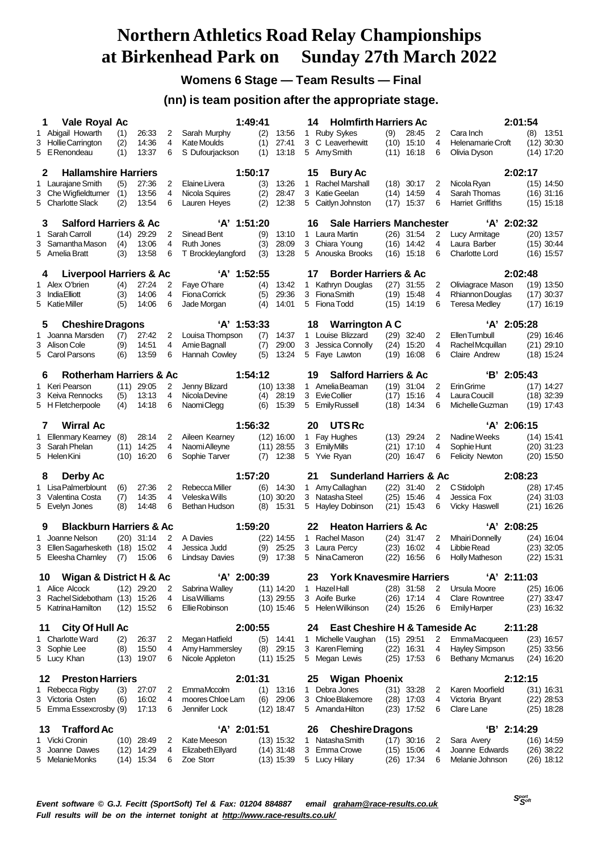## **Womens 6 Stage — Team Results — Final**

### **(nn) is team position after the appropriate stage.**

|    | 1<br>Vale Royal Ac                                   |             |                              |                | 1:49:41                                |            |                              | 14     | <b>Holmfirth Harriers Ac</b>          |              |                              |                     |                                              | 2:01:54 |                              |
|----|------------------------------------------------------|-------------|------------------------------|----------------|----------------------------------------|------------|------------------------------|--------|---------------------------------------|--------------|------------------------------|---------------------|----------------------------------------------|---------|------------------------------|
|    | 1 Abigail Howarth                                    | (1)         | 26:33                        | 2              | Sarah Murphy                           | (2)        | 13:56                        |        | 1 Ruby Sykes                          | (9)          | 28:45                        | 2                   | Cara Inch                                    | (8)     | 13:51                        |
|    | 3 Hollie Carrington                                  | (2)         | 14:36                        | 4              | <b>Kate Moulds</b>                     | (1)        | 27:41                        | 3      | C Leaverhewitt                        | (10)         | 15:10                        | 4                   | Helenamarie Croft                            |         | $(12)$ 30:30                 |
|    | 5 E Renondeau                                        | (1)         | 13:37                        | 6              | S Dufourjackson                        | (1)        | 13:18                        |        | 5 Amy Smith                           | (11)         | 16:18                        | 6                   | Olivia Dyson                                 |         | (14) 17:20                   |
|    | <b>Hallamshire Harriers</b><br>2                     |             |                              |                | 1:50:17                                |            |                              | 15     | <b>Bury Ac</b>                        |              |                              |                     |                                              | 2:02:17 |                              |
|    | 1 Laurajane Smith                                    | (5)         | 27:36                        | 2              | Elaine Livera                          | (3)        | 13:26                        | 1.     | <b>Rachel Marshall</b>                |              | $(18)$ 30:17                 | 2                   | Nicola Rvan                                  |         | $(15)$ 14:50                 |
|    | 3 Che Wigfieldturner                                 | (1)         | 13:56                        | 4              | Nicola Squires                         | (2)        | 28:47                        |        | 3 Katie Geelan                        | (14)         | 14:59                        | $\overline{4}$      | Sarah Thomas                                 |         | $(16)$ 31:16                 |
|    | 5 Charlotte Slack                                    | (2)         | 13:54                        | 6              | Lauren Heyes                           | (2)        | 12:38                        | 5      | Caitlyn Johnston                      | (17)         | 15:37                        | 6                   | <b>Harriet Griffiths</b>                     |         | $(15)$ 15:18                 |
|    | <b>Salford Harriers &amp; Ac</b><br>3                |             |                              |                | 'A' 1:51:20                            |            |                              | 16     | <b>Sale Harriers Manchester</b>       |              |                              |                     | $'A'$ 2:02:32                                |         |                              |
|    | 1 Sarah Carroll                                      | (14)        | 29:29                        | 2              | Sinead Bent                            | (9)        | 13:10                        |        | 1 Laura Martin                        |              | $(26)$ 31:54                 | 2                   | Lucy Armitage                                |         | $(20)$ 13:57                 |
|    | 3 Samantha Mason                                     | (4)         | 13:06<br>13:58               | 4<br>6         | <b>Ruth Jones</b>                      | (3)<br>(3) | 28:09<br>13:28               |        | 3 Chiara Young<br>5 Anouska Brooks    | (16)         | 14:42                        | 4<br>6              | Laura Barber<br><b>Charlotte Lord</b>        |         | $(15)$ 30:44                 |
|    | 5 Amelia Bratt                                       | (3)         |                              |                | T Brockleylangford                     |            |                              |        |                                       |              | $(16)$ 15:18                 |                     |                                              |         | $(16)$ 15:57                 |
|    | <b>Liverpool Harriers &amp; Ac</b><br>4              |             |                              |                | 'A' 1:52:55                            |            |                              | 17     | <b>Border Harriers &amp; Ac</b>       |              |                              |                     |                                              | 2:02:48 |                              |
|    | 1 Alex O'brien                                       | (4)         | 27:24                        | 2              | Faye O'hare                            | (4)        | 13:42                        |        | 1 Kathryn Douglas                     |              | $(27)$ 31:55                 | 2                   | Oliviagrace Mason                            |         | (19) 13:50                   |
|    | 3 India Elliott<br>5 KatieMiller                     | (3)<br>(5)  | 14:06<br>14:06               | 4<br>6         | <b>Fiona Corrick</b><br>Jade Morgan    | (5)<br>(4) | 29:36<br>14:01               | 3      | <b>FionaSmith</b><br>5 Fiona Todd     | (15)         | $(19)$ 15:48<br>14:19        | 4<br>6              | Rhiannon Douglas<br><b>Teresa Medley</b>     |         | $(17)$ 30:37<br>$(17)$ 16:19 |
|    |                                                      |             |                              |                |                                        |            |                              |        |                                       |              |                              |                     |                                              |         |                              |
|    | <b>Cheshire Dragons</b><br>5                         |             |                              |                | $'A'$ 1:53:33                          |            |                              | 18     | <b>Warrington A C</b>                 |              |                              |                     | 'A' 2:05:28                                  |         |                              |
|    | 1 Joanna Marsden                                     | (7)         | 27:42                        | 2              | Louisa Thompson                        | (7)        | 14:37                        |        | 1 Louise Blizzard                     | (29)         | 32:40                        | 2                   | Ellen Turnbull                               |         | $(29)$ 16:46                 |
|    | 3 Alison Cole<br>5 Carol Parsons                     | (9)<br>(6)  | 14:51<br>13:59               | 4<br>6         | Amie Bagnall<br>Hannah Cowley          | (7)<br>(5) | 29:00<br>13:24               | 3<br>5 | Jessica Connolly<br>Faye Lawton       | (24)<br>(19) | 15:20<br>16:08               | 4<br>6              | Rachel Mcquillan<br>Claire Andrew            |         | $(21)$ 29:10<br>$(18)$ 15:24 |
|    |                                                      |             |                              |                |                                        |            |                              |        |                                       |              |                              |                     |                                              |         |                              |
|    | <b>Rotherham Harriers &amp; Ac</b><br>6              |             |                              |                | 1:54:12                                |            |                              | 19     | <b>Salford Harriers &amp; Ac</b>      |              |                              |                     | $B'$ 2:05:43                                 |         |                              |
|    | 1 Keri Pearson                                       | (11)        | 29:05                        | $\overline{2}$ | Jenny Blizard                          |            | $(10)$ 13:38                 |        | 1 Amelia Beaman                       |              | $(19)$ 31:04                 | 2                   | Erin Grime                                   |         | $(17)$ 14:27                 |
|    | 3 Keiva Rennocks<br>5 H Fletcherpoole                | (5)<br>(4)  | 13:13<br>14:18               | 4<br>6         | Nicola Devine<br>Naomi Clegg           | (4)<br>(6) | 28:19<br>15:39               | 3<br>5 | Evie Collier<br>Emily Russell         | (17)<br>(18) | 15:16<br>14:34               | 4<br>6              | Laura Coucill<br>Michelle Guzman             |         | $(18)$ 32:39<br>$(19)$ 17:43 |
|    |                                                      |             |                              |                |                                        |            |                              |        |                                       |              |                              |                     |                                              |         |                              |
|    | Wirral Ac<br>7                                       |             |                              |                | 1:56:32                                |            |                              | 20     | <b>UTSRc</b>                          |              |                              |                     | 'A' 2:06:15                                  |         |                              |
|    | 1 Ellenmary Kearney<br>3 Sarah Phelan                | (8)<br>(11) | 28:14<br>14:25               | 2<br>4         | Aileen Kearney<br>Naomi Alleyne        |            | $(12)$ 16:00<br>$(11)$ 28:55 | 3      | 1 Fay Hughes<br><b>EmilyMills</b>     | (21)         | $(13)$ 29:24<br>17:10        | 2<br>4              | Nadine Weeks<br>Sophie Hunt                  |         | $(14)$ 15:41<br>$(20)$ 31:23 |
|    | 5 Helen Kini                                         | (10)        | 16:20                        | 6              | Sophie Tarver                          | (7)        | 12:38                        |        | 5 Yvie Ryan                           | (20)         | 16:47                        | 6                   | <b>Felicity Newton</b>                       |         | $(20)$ 15:50                 |
|    |                                                      |             |                              |                | 1:57:20                                |            |                              | 21     | <b>Sunderland Harriers &amp; Ac</b>   |              |                              |                     |                                              | 2:08:23 |                              |
|    | Derby Ac<br>8<br>1 Lisa Palmerblount                 | (6)         | 27:36                        | 2              | Rebecca Miller                         | (6)        | 14:30                        |        | 1 Amy Callaghan                       | (22)         | 31:40                        | 2                   | C Stidolph                                   |         | $(28)$ 17:45                 |
|    | 3 Valentina Costa                                    | (7)         | 14:35                        | 4              | Veleska Wills                          |            | $(10)$ 30:20                 |        | 3 Natasha Steel                       | (25)         | 15:46                        | 4                   | Jessica Fox                                  |         | $(24)$ 31:03                 |
|    | 5 Evelyn Jones                                       | (8)         | 14:48                        | 6              | Bethan Hudson                          | (8)        | 15:31                        |        | 5 Hayley Dobinson                     | (21)         | 15:43                        | 6                   | <b>Vicky Haswell</b>                         |         | $(21)$ 16:26                 |
|    | <b>Blackburn Harriers &amp; Ac</b><br>9              |             |                              |                | 1:59:20                                |            |                              | 22     | <b>Heaton Harriers &amp; Ac</b>       |              |                              |                     | 'A' 2:08:25                                  |         |                              |
|    | 1 Joanne Nelson                                      |             | $(20)$ 31:14                 | 2              | A Davies                               |            | $(22)$ 14:55                 | 1      | Rachel Mason                          |              | $(24)$ 31:47                 | 2                   | <b>Mhairi Donnelly</b>                       |         | $(24)$ 16:04                 |
| 3  | Ellen Sagarhesketh (18)                              |             | 15:02                        | 4              | Jessica Judd                           | (9)        | 25:25                        | 3      | Laura Percy                           | (23)         | 16:02                        | 4                   | Libbie Read                                  |         | $(23)$ 32:05                 |
|    | 5 Eleesha Charnley                                   | (7)         | 15:06                        | 6              | <b>Lindsay Davies</b>                  | (9)        | 17:38                        | 5      | Nina Cameron                          | (22)         | 16:56                        | 6                   | Holly Matheson                               |         | $(22)$ 15:31                 |
|    | Wigan & District H & Ac<br>10                        |             |                              |                | 'A' 2:00:39                            |            |                              | 23     | <b>York Knavesmire Harriers</b>       |              |                              |                     | $'A'$ 2:11:03                                |         |                              |
|    | 1 Alice Alcock                                       |             | $(12)$ 29:20                 | 2              | Sabrina Walley                         |            | $(11)$ 14:20                 |        | 1 Hazel Hall                          |              | $(28)$ 31:58                 | 2                   | Ursula Moore                                 |         | $(25)$ 16:06                 |
|    | 3 Rachel Sidebotham (13) 15:26<br>5 Katrina Hamilton |             | $(12)$ 15:52                 | 4<br>6         | <b>Lisa Williams</b><br>Ellie Robinson |            | $(13)$ 29:55<br>$(10)$ 15:46 |        | 3 Aoife Burke<br>5 Helen Wilkinson    |              | $(26)$ 17:14<br>$(24)$ 15:26 | 4<br>6              | <b>Clare Rowntree</b><br><b>Emily Harper</b> |         | $(27)$ 33:47<br>$(23)$ 16:32 |
|    |                                                      |             |                              |                |                                        |            |                              |        |                                       |              |                              |                     |                                              |         |                              |
| 11 | <b>City Of Hull Ac</b>                               |             |                              |                | 2:00:55                                |            |                              | 24     | East Cheshire H & Tameside Ac         |              |                              |                     |                                              | 2:11:28 |                              |
|    | 1 Charlotte Ward<br>3 Sophie Lee                     | (2)<br>(8)  | 26:37<br>15:50               | 2<br>4         | Megan Hatfield<br>Amy Hammersley       | (5)<br>(8) | 14:41<br>29:15               |        | 1 Michelle Vaughan<br>3 Karen Fleming |              | $(15)$ 29:51<br>$(22)$ 16:31 | $\overline{2}$<br>4 | <b>EmmaMacqueen</b><br><b>Hayley Simpson</b> |         | $(23)$ 16:57<br>$(25)$ 33:56 |
|    | 5 Lucy Khan                                          | (13)        | 19:07                        | 6              | Nicole Appleton                        |            | $(11)$ 15:25                 |        | 5 Megan Lewis                         |              | $(25)$ 17:53                 | 6                   | Bethany Mcmanus                              |         | $(24)$ 16:20                 |
|    |                                                      |             |                              |                |                                        |            |                              |        |                                       |              |                              |                     |                                              |         |                              |
|    | <b>Preston Harriers</b><br>12                        |             |                              |                | 2:01:31                                |            |                              | 25     | <b>Wigan Phoenix</b>                  |              |                              |                     |                                              | 2:12:15 |                              |
|    | 1 Rebecca Rigby<br>3 Victoria Osten                  | (3)<br>(6)  | 27:07<br>16:02               | 2<br>4         | EmmaMccolm<br>moores Chloe Lam         | (1)<br>(6) | 13:16<br>29:06               |        | 1 Debra Jones<br>3 Chloe Blakemore    |              | $(31)$ 33:28<br>$(28)$ 17:03 | 2<br>4              | Karen Moorfield<br>Victoria Bryant           |         | $(31)$ 16:31<br>$(22)$ 28:53 |
|    | 5 Emma Essexcrosby (9)                               |             | 17:13                        | 6              | Jennifer Lock                          |            | $(12)$ 18:47                 |        | 5 Amanda Hilton                       |              | $(23)$ 17:52                 | 6                   | Clare Lane                                   |         | (25) 18:28                   |
|    |                                                      |             |                              |                |                                        |            |                              |        |                                       |              |                              |                     |                                              |         |                              |
|    | <b>Trafford Ac</b><br>13                             |             |                              |                | 'A' 2:01:51                            |            |                              | 26     | <b>Cheshire Dragons</b>               |              |                              |                     | 'B' 2:14:29                                  |         |                              |
| 3  | 1 Vicki Cronin<br>Joanne Dawes                       |             | $(10)$ 28:49<br>$(12)$ 14:29 | 2<br>4         | Kate Meeson<br>Elizabeth Ellyard       |            | $(13)$ 15:32<br>$(14)$ 31:48 |        | 1 Natasha Smith<br>3 Emma Crowe       |              | $(17)$ 30:16<br>$(15)$ 15:06 | 2<br>4              | Sara Avery<br>Joanne Edwards                 |         | $(16)$ 14:59<br>$(26)$ 38:22 |
|    | 5 Melanie Monks                                      |             | $(14)$ 15:34                 | 6              | Zoe Storr                              |            | $(13)$ 15:39                 |        | 5 Lucy Hilary                         |              | $(26)$ 17:34                 | 6                   | Melanie Johnson                              |         | $(26)$ 18:12                 |